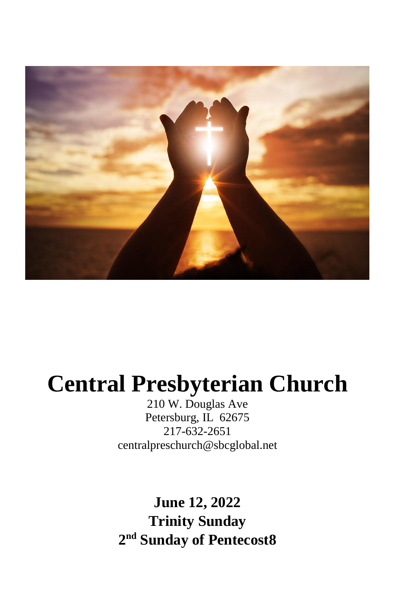

# **Central Presbyterian Church**

210 W. Douglas Ave Petersburg, IL 62675 217-632-2651 [centralpreschurch@sbcglobal.net](mailto:centralpreschurch@sbcglobal.net)

**June 12, 2022 Trinity Sunday 2 nd Sunday of Pentecost8**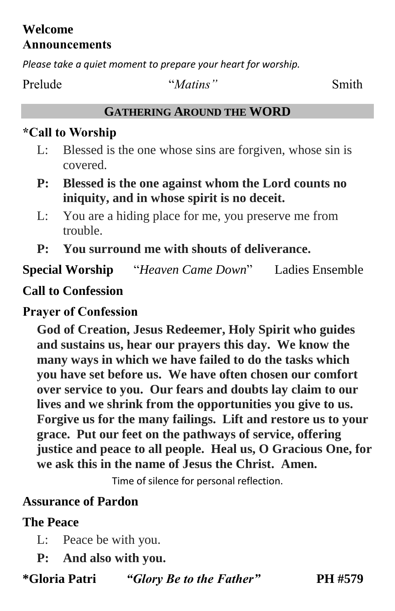#### **Welcome Announcements**

*Please take a quiet moment to prepare your heart for worship.*

#### Prelude "*Matins"* Smith

#### **GATHERING AROUND THE WORD**

## **\*Call to Worship**

- L: Blessed is the one whose sins are forgiven, whose sin is covered.
- **P: Blessed is the one against whom the Lord counts no iniquity, and in whose spirit is no deceit.**
- L: You are a hiding place for me, you preserve me from trouble.
- **P: You surround me with shouts of deliverance.**

**Special Worship** "*Heaven Came Down*" Ladies Ensemble

## **Call to Confession**

# **Prayer of Confession**

**God of Creation, Jesus Redeemer, Holy Spirit who guides and sustains us, hear our prayers this day. We know the many ways in which we have failed to do the tasks which you have set before us. We have often chosen our comfort over service to you. Our fears and doubts lay claim to our lives and we shrink from the opportunities you give to us. Forgive us for the many failings. Lift and restore us to your grace. Put our feet on the pathways of service, offering justice and peace to all people. Heal us, O Gracious One, for we ask this in the name of Jesus the Christ. Amen.**

Time of silence for personal reflection.

#### **Assurance of Pardon**

# **The Peace**

- L: Peace be with you.
- **P: And also with you.**

**\*Gloria Patri** *"Glory Be to the Father"* **PH #579**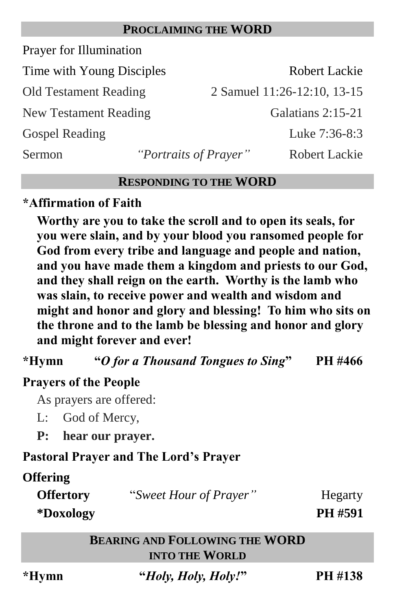#### **PROCLAIMING THE WORD**

Prayer for Illumination

Time with Young Disciples Robert Lackie Old Testament Reading 2 Samuel 11:26-12:10, 13-15 New Testament Reading Galatians 2:15-21 Gospel Reading Luke 7:36-8:3 Sermon *"Portraits of Prayer"* Robert Lackie

#### **RESPONDING TO THE WORD**

#### **\*Affirmation of Faith**

**Worthy are you to take the scroll and to open its seals, for you were slain, and by your blood you ransomed people for God from every tribe and language and people and nation, and you have made them a kingdom and priests to our God, and they shall reign on the earth. Worthy is the lamb who was slain, to receive power and wealth and wisdom and might and honor and glory and blessing! To him who sits on the throne and to the lamb be blessing and honor and glory and might forever and ever!**

**\*Hymn "***O for a Thousand Tongues to Sing***" PH #466**

# **Prayers of the People**

As prayers are offered:

L: God of Mercy,

**P: hear our prayer.**

**Pastoral Prayer and The Lord's Prayer** 

# **Offering**

**Offertory** "*Sweet Hour of Prayer*" Hegarty

**\*Doxology PH #591**

| <b>BEARING AND FOLLOWING THE WORD</b> |
|---------------------------------------|
| <b>INTO THE WORLD</b>                 |

**\*Hymn "***Holy, Holy, Holy!***" PH #138**